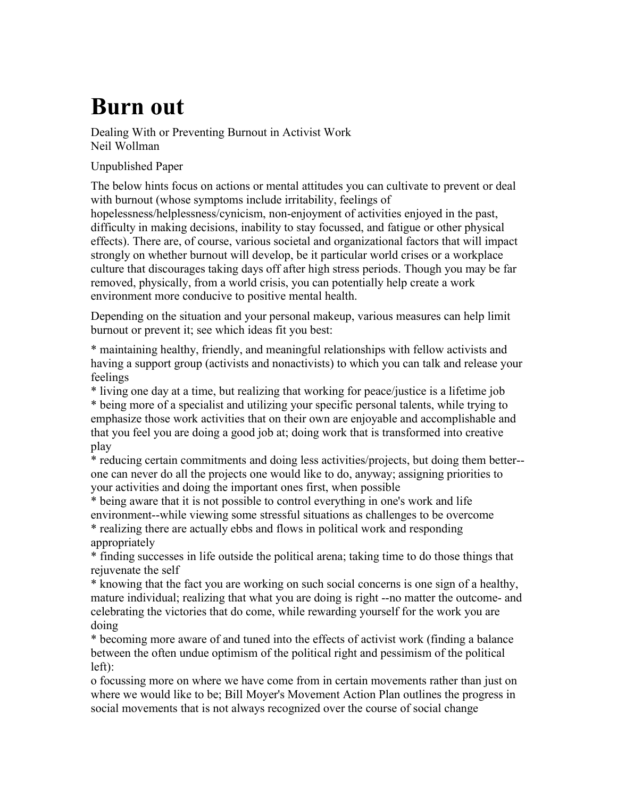## **Burn out**

Dealing With or Preventing Burnout in Activist Work Neil Wollman

Unpublished Paper

The below hints focus on actions or mental attitudes you can cultivate to prevent or deal with burnout (whose symptoms include irritability, feelings of hopelessness/helplessness/cynicism, non-enjoyment of activities enjoyed in the past, difficulty in making decisions, inability to stay focussed, and fatigue or other physical effects). There are, of course, various societal and organizational factors that will impact strongly on whether burnout will develop, be it particular world crises or a workplace culture that discourages taking days off after high stress periods. Though you may be far removed, physically, from a world crisis, you can potentially help create a work environment more conducive to positive mental health.

Depending on the situation and your personal makeup, various measures can help limit burnout or prevent it; see which ideas fit you best:

\* maintaining healthy, friendly, and meaningful relationships with fellow activists and having a support group (activists and nonactivists) to which you can talk and release your feelings

\* living one day at a time, but realizing that working for peace/justice is a lifetime job

\* being more of a specialist and utilizing your specific personal talents, while trying to emphasize those work activities that on their own are enjoyable and accomplishable and that you feel you are doing a good job at; doing work that is transformed into creative play

\* reducing certain commitments and doing less activities/projects, but doing them better- one can never do all the projects one would like to do, anyway; assigning priorities to your activities and doing the important ones first, when possible

\* being aware that it is not possible to control everything in one's work and life environment--while viewing some stressful situations as challenges to be overcome \* realizing there are actually ebbs and flows in political work and responding appropriately

\* finding successes in life outside the political arena; taking time to do those things that rejuvenate the self

\* knowing that the fact you are working on such social concerns is one sign of a healthy, mature individual; realizing that what you are doing is right --no matter the outcome- and celebrating the victories that do come, while rewarding yourself for the work you are doing

\* becoming more aware of and tuned into the effects of activist work (finding a balance between the often undue optimism of the political right and pessimism of the political left):

o focussing more on where we have come from in certain movements rather than just on where we would like to be; Bill Moyer's Movement Action Plan outlines the progress in social movements that is not always recognized over the course of social change